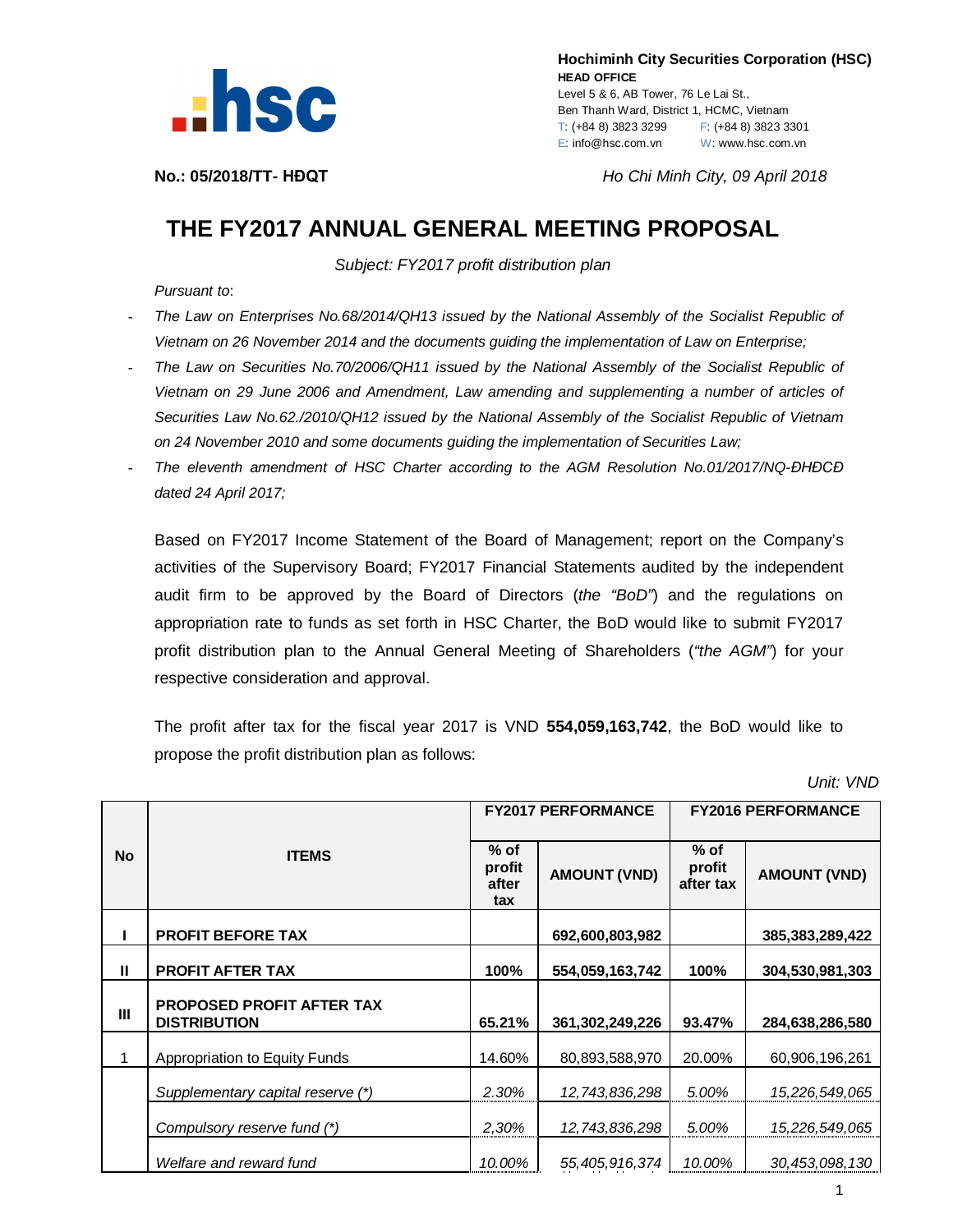

 **Hochiminh City Securities Corporation (HSC) HEAD OFFICE** Level 5 & 6, AB Tower, 76 Le Lai St., Ben Thanh Ward, District 1, HCMC, Vietnam T: (+84 8) 3823 3299 F: (+84 8) 3823 3301 E: info@hsc.com.vn W: www.hsc.com.vn

**No.: 05/2018/TT- HĐQT** *Ho Chi Minh City, 09 April 2018*

## **THE FY2017 ANNUAL GENERAL MEETING PROPOSAL**

*Subject: FY2017 profit distribution plan*

*Pursuant to*:

- *The Law on Enterprises No.68/2014/QH13 issued by the National Assembly of the Socialist Republic of Vietnam on 26 November 2014 and the documents guiding the implementation of Law on Enterprise;*
- *The Law on Securities No.70/2006/QH11 issued by the National Assembly of the Socialist Republic of Vietnam on 29 June 2006 and Amendment, Law amending and supplementing a number of articles of Securities Law No.62./2010/QH12 issued by the National Assembly of the Socialist Republic of Vietnam on 24 November 2010 and some documents guiding the implementation of Securities Law;*
- *The eleventh amendment of HSC Charter according to the AGM Resolution No.01/2017/NQ-ĐHĐCĐ dated 24 April 2017;*

Based on FY2017 Income Statement of the Board of Management; report on the Company's activities of the Supervisory Board; FY2017 Financial Statements audited by the independent audit firm to be approved by the Board of Directors (*the "BoD"*) and the regulations on appropriation rate to funds as set forth in HSC Charter, the BoD would like to submit FY2017 profit distribution plan to the Annual General Meeting of Shareholders (*"the AGM"*) for your respective consideration and approval.

The profit after tax for the fiscal year 2017 is VND **554,059,163,742**, the BoD would like to propose the profit distribution plan as follows:

 *Unit: VND*

| <b>No</b>      | <b>ITEMS</b>                                            | <b>FY2017 PERFORMANCE</b>        |                     | <b>FY2016 PERFORMANCE</b>     |                     |
|----------------|---------------------------------------------------------|----------------------------------|---------------------|-------------------------------|---------------------|
|                |                                                         | $%$ of<br>profit<br>after<br>tax | <b>AMOUNT (VND)</b> | $%$ of<br>profit<br>after tax | <b>AMOUNT (VND)</b> |
|                | <b>PROFIT BEFORE TAX</b>                                |                                  | 692,600,803,982     |                               | 385,383,289,422     |
| Ш              | <b>PROFIT AFTER TAX</b>                                 | 100%                             | 554,059,163,742     | 100%                          | 304,530,981,303     |
| $\mathbf{III}$ | <b>PROPOSED PROFIT AFTER TAX</b><br><b>DISTRIBUTION</b> | 65.21%                           | 361,302,249,226     | 93.47%                        | 284,638,286,580     |
| 1              | Appropriation to Equity Funds                           | 14.60%                           | 80,893,588,970      | 20.00%                        | 60,906,196,261      |
|                | Supplementary capital reserve (*)                       | 2.30%                            | 12,743,836,298      | 5.00%                         | 15,226,549,065      |
|                | Compulsory reserve fund (*)                             | 2,30%                            | 12,743,836,298      | 5.00%                         | 15,226,549,065      |
|                | Welfare and reward fund                                 | 10.00%                           | 55,405,916,374      | 10.00%                        | 30,453,098,130      |